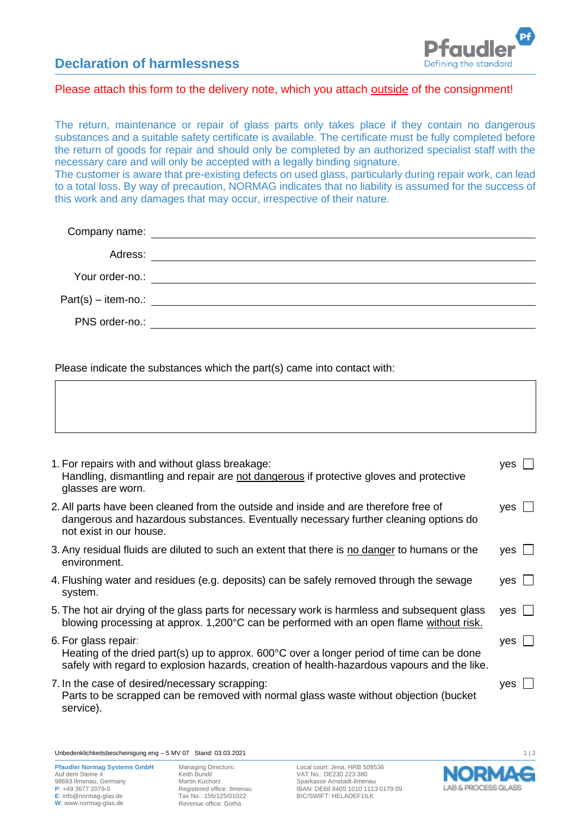## **Declaration of harmlessness**



## Please attach this form to the delivery note, which you attach outside of the consignment!

The return, maintenance or repair of glass parts only takes place if they contain no dangerous substances and a suitable safety certificate is available. The certificate must be fully completed before the return of goods for repair and should only be completed by an authorized specialist staff with the necessary care and will only be accepted with a legally binding signature.

The customer is aware that pre-existing defects on used glass, particularly during repair work, can lead to a total loss. By way of precaution, NORMAG indicates that no liability is assumed for the success of this work and any damages that may occur, irrespective of their nature.

|                 | Company name: The company name of the company name of the company name of the company of the company of the company of the company of the company of the company of the company of the company of the company of the company o |
|-----------------|--------------------------------------------------------------------------------------------------------------------------------------------------------------------------------------------------------------------------------|
| Adress:         |                                                                                                                                                                                                                                |
| Your order-no.: |                                                                                                                                                                                                                                |
|                 | $Part(s) - item-no.:$                                                                                                                                                                                                          |
| PNS order-no.:  |                                                                                                                                                                                                                                |
|                 |                                                                                                                                                                                                                                |

Please indicate the substances which the part(s) came into contact with:

| 1. For repairs with and without glass breakage:<br>Handling, dismantling and repair are not dangerous if protective gloves and protective<br>glasses are worn.                                                             | yes          |
|----------------------------------------------------------------------------------------------------------------------------------------------------------------------------------------------------------------------------|--------------|
| 2. All parts have been cleaned from the outside and inside and are therefore free of<br>dangerous and hazardous substances. Eventually necessary further cleaning options do<br>not exist in our house.                    | $yes$ $\Box$ |
| 3. Any residual fluids are diluted to such an extent that there is no danger to humans or the<br>environment.                                                                                                              | yes          |
| 4. Flushing water and residues (e.g. deposits) can be safely removed through the sewage<br>system.                                                                                                                         | yes          |
| 5. The hot air drying of the glass parts for necessary work is harmless and subsequent glass<br>blowing processing at approx. 1,200°C can be performed with an open flame without risk.                                    | yes          |
| 6. For glass repair:<br>Heating of the dried part(s) up to approx. $600^{\circ}$ C over a longer period of time can be done<br>safely with regard to explosion hazards, creation of health-hazardous vapours and the like. | yes          |
| 7. In the case of desired/necessary scrapping:<br>Parts to be scrapped can be removed with normal glass waste without objection (bucket<br>service).                                                                       | $yes$ $\Box$ |
|                                                                                                                                                                                                                            |              |

Unbedenklichkeitsbescheinigung eng – 5 MV 07 Stand: 03.03.2021 1 | 2

Managing Directors: Keith Bundil Martin Kuchorz Registered office: Ilmenau Tax No.: 156/125/01022 Revenue office: Gotha

Local court: Jena, HRB 509536 VAT No.: DE230 223 380 Sparkasse Arnstadt-Ilmenau IBAN: DE68 8405 1010 1113 0179 09 BIC/SWIFT: HELADEF1ILK